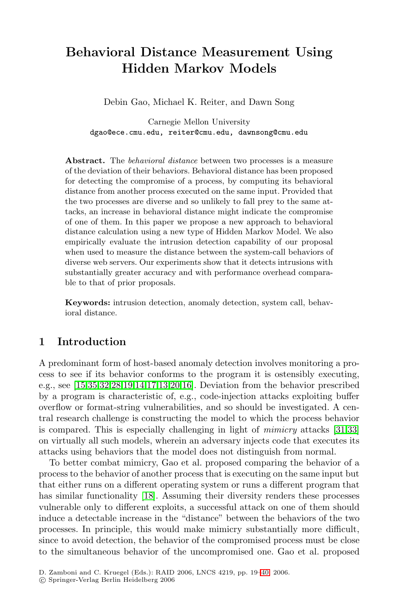# **Behavioral Distance Measurement Using Hidden Markov Models**

Debin Gao, Michael K. Reiter, and Dawn Song

Carnegie Mellon University dgao@ece.cmu.edu, reiter@cmu.edu, dawnsong@cmu.edu

Abstract. The *behavioral distance* between two processes is a measure of the deviation of their behaviors. Behavioral distance has been proposed for detecting the compromise of a process, by computing its behavioral distance from another process executed on the same input. Provided that the two processes are diverse and so unlikely to fall prey to the same attacks, an increase in behavioral distance might indicate the compromise of one of them. In this paper we propose a new approach to behavioral distance calculation using a new type of Hidden Markov Model. We also empirically evaluate the intrusion detection capability of our proposal when used to measure the distance between the system-call behaviors of diverse web servers. Our experiments show that it detects intrusions with substantially greater accuracy and with performance overhead comparable to that of prior proposals.

**Keywords:** intrusion detection, anomaly detection, system call, behavioral distance.

# **1 Introduction**

A predominant form of host-based anomaly detection involves monitoring a process to see if its behavior conforms to the program it is ostensibly executing, e.g., see [\[15,](#page-16-0)[35](#page-17-0)[,32](#page-17-1)[,28](#page-17-2)[,19,](#page-16-1)[14,](#page-16-2)[17](#page-16-3)[,13,](#page-16-4)[20,](#page-16-5)[16\]](#page-16-6). Deviation from the behavior prescribed by a program is characteristic of, e.g., code-injection attacks exploiting buffer overflow or format-string vulnerabilities, and so should be investigated. A central research challenge is constructing the model to which the process behavior is compared. This is especially challenging in light of mimicry attacks [\[31](#page-17-3)[,33\]](#page-17-4) on virtually all such models, wherein an adversary injects code that executes its attacks using behaviors that the model does not distinguish from normal.

To better combat mimicry, Gao et al. proposed comparing the behavior of a process to the behavior of another process that is executing on the same input but that either runs on a different operating system or runs a different program that has similar functionality [\[18\]](#page-16-7). Assuming their diversity renders these processes vulnerable only to different exploits, a successful attack on one of them should induce a detectable increase in the "distance" between the behaviors of the two processes. In principle, this would make mimicry substantially more difficult, since to avoid detection, the behavior of the compromised process must be close to the simultaneous behavior of the uncompromised one. Gao et al. proposed

D. Zamboni and C. Kruegel (Eds.): RAID 2006, LNCS 4219, pp. 19[–40,](#page-19-0) 2006.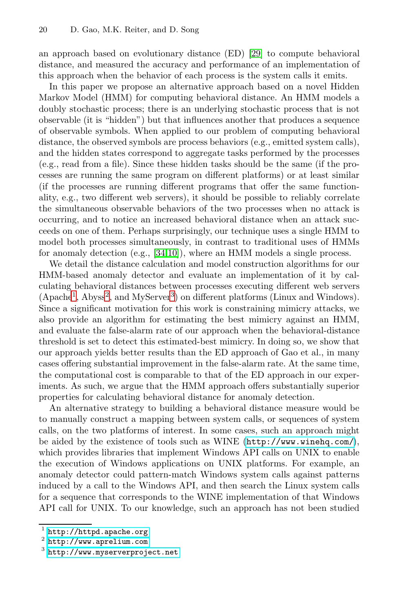an approach based on evolutionary distance (ED) [\[29\]](#page-17-5) to compute behavioral distance, and measured the accuracy and performance of an implementation of this approach when the behavior of each process is the system calls it emits.

In this paper we propose an alternative approach based on a novel Hidden Markov Model (HMM) for computing behavioral distance. An HMM models a doubly stochastic process; there is an underlying stochastic process that is not observable (it is "hidden") but that influences another that produces a sequence of observable symbols. When applied to our problem of computing behavioral distance, the observed symbols are process behaviors (e.g., emitted system calls), and the hidden states correspond to aggregate tasks performed by the processes (e.g., read from a file). Since these hidden tasks should be the same (if the processes are running the same program on different platforms) or at least similar (if the processes are running different programs that offer the same functionality, e.g., two different web servers), it should be possible to reliably correlate the simultaneous observable behaviors of the two processes when no attack is occurring, and to notice an increased behavioral distance when an attack succeeds on one of them. Perhaps surprisingly, our technique uses a single HMM to model both processes simultaneously, in contrast to traditional uses of HMMs for anomaly detection (e.g., [\[34,](#page-17-6)[10\]](#page-16-8)), where an HMM models a single process.

We detail the distance calculation and model construction algorithms for our HMM-based anomaly detector and evaluate an implementation of it by calculating behavioral distances between processes executing different web servers  $(Apace<sup>1</sup>, Abyss<sup>2</sup>, and MyServer<sup>3</sup>)$  $(Apace<sup>1</sup>, Abyss<sup>2</sup>, and MyServer<sup>3</sup>)$  $(Apace<sup>1</sup>, Abyss<sup>2</sup>, and MyServer<sup>3</sup>)$  $(Apace<sup>1</sup>, Abyss<sup>2</sup>, and MyServer<sup>3</sup>)$  $(Apace<sup>1</sup>, Abyss<sup>2</sup>, and MyServer<sup>3</sup>)$  $(Apace<sup>1</sup>, Abyss<sup>2</sup>, and MyServer<sup>3</sup>)$  $(Apace<sup>1</sup>, Abyss<sup>2</sup>, and MyServer<sup>3</sup>)$  on different platforms (Linux and Windows). Since a significant motivation for this work is constraining mimicry attacks, we also provide an algorithm for estimating the best mimicry against an HMM, and evaluate the false-alarm rate of our approach when the behavioral-distance threshold is set to detect this estimated-best mimicry. In doing so, we show that our approach yields better results than the ED approach of Gao et al., in many cases offering substantial improvement in the false-alarm rate. At the same time, the computational cost is comparable to that of the ED approach in our experiments. As such, we argue that the HMM approach offers substantially superior properties for calculating behavioral distance for anomaly detection.

An alternative strategy to building a behavioral distance measure would be to manually construct a mapping between system calls, or sequences of system calls, on the two platforms of interest. In some cases, such an approach might be aided by the existence of tools such as WINE  $(\text{http://www.winehq.com/})$  $(\text{http://www.winehq.com/})$  $(\text{http://www.winehq.com/})$ , which provides libraries that implement Windows API calls on UNIX to enable the execution of Windows applications on UNIX platforms. For example, an anomaly detector could pattern-match Windows system calls against patterns induced by a call to the Windows API, and then search the Linux system calls for a sequence that corresponds to the WINE implementation of that Windows API call for UNIX. To our knowledge, such an approach has not been studied

<span id="page-1-0"></span> $\frac{1}{1}$  <http://httpd.apache.org>

<sup>2</sup> <http://www.aprelium.com>

<span id="page-1-2"></span><span id="page-1-1"></span> $3$  <http://www.myserverproject.net>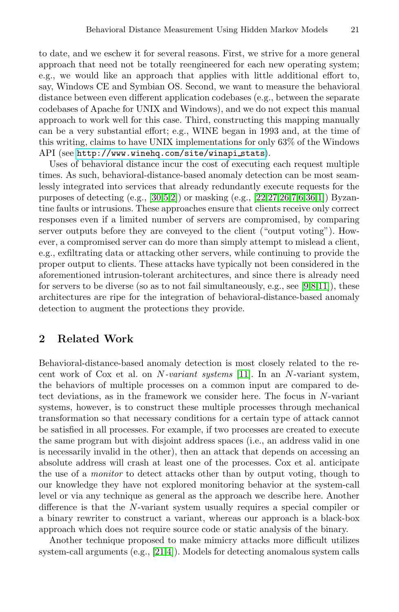to date, and we eschew it for several reasons. First, we strive for a more general approach that need not be totally reengineered for each new operating system; e.g., we would like an approach that applies with little additional effort to, say, Windows CE and Symbian OS. Second, we want to measure the behavioral distance between even different application codebases (e.g., between the separate codebases of Apache for UNIX and Windows), and we do not expect this manual approach to work well for this case. Third, constructing this mapping manually can be a very substantial effort; e.g., WINE began in 1993 and, at the time of this writing, claims to have UNIX implementations for only 63% of the Windows API (see [http://www.winehq.com/site/winapi](http://www.winehq.com/site/winapi_stats) stats).

Uses of behavioral distance incur the cost of executing each request multiple times. As such, behavioral-distance-based anomaly detection can be most seamlessly integrated into services that already redundantly execute requests for the purposes of detecting (e.g., [\[30](#page-17-7)[,5](#page-16-9)[,2\]](#page-15-0)) or masking (e.g., [\[22](#page-17-8)[,27,](#page-17-9)[26](#page-17-10)[,7](#page-16-10)[,6](#page-16-11)[,36,](#page-17-11)[1\]](#page-15-1)) Byzantine faults or intrusions. These approaches ensure that clients receive only correct responses even if a limited number of servers are compromised, by comparing server outputs before they are conveyed to the client ("output voting"). However, a compromised server can do more than simply attempt to mislead a client, e.g., exfiltrating data or attacking other servers, while continuing to provide the proper output to clients. These attacks have typically not been considered in the aforementioned intrusion-tolerant architectures, and since there is already need for servers to be diverse (so as to not fail simultaneously, e.g., see  $[9,8,11]$  $[9,8,11]$  $[9,8,11]$ ), these architectures are ripe for the integration of behavioral-distance-based anomaly detection to augment the protections they provide.

## **2 Related Work**

Behavioral-distance-based anomaly detection is most closely related to the re-cent work of Cox et al. on N-variant systems [\[11\]](#page-16-14). In an N-variant system, the behaviors of multiple processes on a common input are compared to detect deviations, as in the framework we consider here. The focus in N-variant systems, however, is to construct these multiple processes through mechanical transformation so that necessary conditions for a certain type of attack cannot be satisfied in all processes. For example, if two processes are created to execute the same program but with disjoint address spaces (i.e., an address valid in one is necessarily invalid in the other), then an attack that depends on accessing an absolute address will crash at least one of the processes. Cox et al. anticipate the use of a monitor to detect attacks other than by output voting, though to our knowledge they have not explored monitoring behavior at the system-call level or via any technique as general as the approach we describe here. Another difference is that the N-variant system usually requires a special compiler or a binary rewriter to construct a variant, whereas our approach is a black-box approach which does not require source code or static analysis of the binary.

Another technique proposed to make mimicry attacks more difficult utilizes system-call arguments (e.g., [\[21](#page-16-15)[,4\]](#page-16-16)). Models for detecting anomalous system calls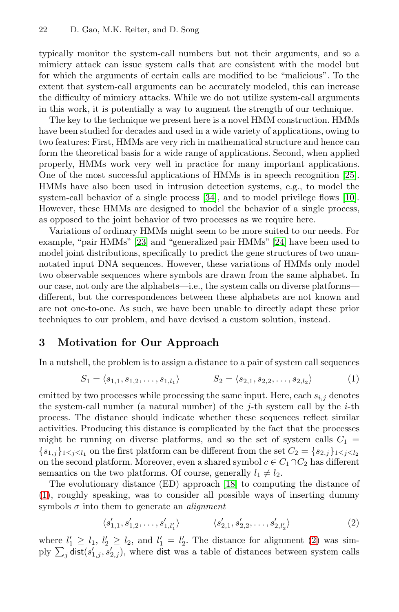typically monitor the system-call numbers but not their arguments, and so a mimicry attack can issue system calls that are consistent with the model but for which the arguments of certain calls are modified to be "malicious". To the extent that system-call arguments can be accurately modeled, this can increase the difficulty of mimicry attacks. While we do not utilize system-call arguments in this work, it is potentially a way to augment the strength of our technique.

The key to the technique we present here is a novel HMM construction. HMMs have been studied for decades and used in a wide variety of applications, owing to two features: First, HMMs are very rich in mathematical structure and hence can form the theoretical basis for a wide range of applications. Second, when applied properly, HMMs work very well in practice for many important applications. One of the most successful applications of HMMs is in speech recognition [\[25\]](#page-17-12). HMMs have also been used in intrusion detection systems, e.g., to model the system-call behavior of a single process [\[34\]](#page-17-6), and to model privilege flows [\[10\]](#page-16-8). However, these HMMs are designed to model the behavior of a single process, as opposed to the joint behavior of two processes as we require here.

Variations of ordinary HMMs might seem to be more suited to our needs. For example, "pair HMMs" [\[23\]](#page-17-13) and "generalized pair HMMs" [\[24\]](#page-17-14) have been used to model joint distributions, specifically to predict the gene structures of two unannotated input DNA sequences. However, these variations of HMMs only model two observable sequences where symbols are drawn from the same alphabet. In our case, not only are the alphabets—i.e., the system calls on diverse platforms different, but the correspondences between these alphabets are not known and are not one-to-one. As such, we have been unable to directly adapt these prior techniques to our problem, and have devised a custom solution, instead.

# <span id="page-3-2"></span>**3 Motivation for Our Approach**

<span id="page-3-0"></span>In a nutshell, the problem is to assign a distance to a pair of system call sequences

$$
S_1 = \langle s_{1,1}, s_{1,2}, \dots, s_{1,l_1} \rangle \qquad S_2 = \langle s_{2,1}, s_{2,2}, \dots, s_{2,l_2} \rangle \tag{1}
$$

emitted by two processes while processing the same input. Here, each  $s_{i,j}$  denotes the system-call number (a natural number) of the j-th system call by the  $i$ -th process. The distance should indicate whether these sequences reflect similar activities. Producing this distance is complicated by the fact that the processes might be running on diverse platforms, and so the set of system calls  $C_1$  =  ${s_1,j}_{1\leq i\leq l_1}$  on the first platform can be different from the set  $C_2 = {s_{2,j}}_{1\leq i\leq l_2}$ on the second platform. Moreover, even a shared symbol  $c \in C_1 \cap C_2$  has different semantics on the two platforms. Of course, generally  $l_1 \neq l_2$ .

The evolutionary distance (ED) approach [\[18\]](#page-16-7) to computing the distance of [\(1\)](#page-3-0), roughly speaking, was to consider all possible ways of inserting dummy symbols  $\sigma$  into them to generate an *alignment* 

$$
\langle s'_{1,1}, s'_{1,2}, \dots, s'_{1,l'_1} \rangle \qquad \langle s'_{2,1}, s'_{2,2}, \dots, s'_{2,l'_2} \rangle \qquad (2)
$$

<span id="page-3-1"></span>where  $l'_1 \ge l_1, l'_2 \ge l_2$ , and  $l'_1 = l'_2$ . The distance for alignment [\(2\)](#page-3-1) was simply  $\sum_j \textsf{dist}(s'_{1,j}, s'_{2,j})$ , where dist was a table of distances between system calls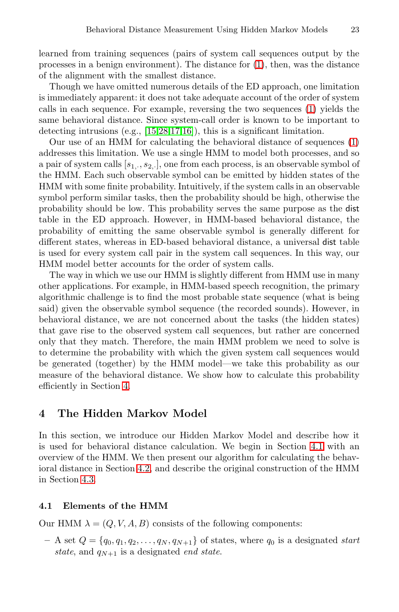learned from training sequences (pairs of system call sequences output by the processes in a benign environment). The distance for [\(1\)](#page-3-0), then, was the distance of the alignment with the smallest distance.

Though we have omitted numerous details of the ED approach, one limitation is immediately apparent: it does not take adequate account of the order of system calls in each sequence. For example, reversing the two sequences [\(1\)](#page-3-0) yields the same behavioral distance. Since system-call order is known to be important to detecting intrusions (e.g., [\[15](#page-16-0)[,28,](#page-17-2)[17,](#page-16-3)[16\]](#page-16-6)), this is a significant limitation.

Our use of an HMM for calculating the behavioral distance of sequences [\(1\)](#page-3-0) addresses this limitation. We use a single HMM to model both processes, and so a pair of system calls  $[s_1, s_2, \ldots]$ , one from each process, is an observable symbol of the HMM. Each such observable symbol can be emitted by hidden states of the HMM with some finite probability. Intuitively, if the system calls in an observable symbol perform similar tasks, then the probability should be high, otherwise the probability should be low. This probability serves the same purpose as the dist table in the ED approach. However, in HMM-based behavioral distance, the probability of emitting the same observable symbol is generally different for different states, whereas in ED-based behavioral distance, a universal dist table is used for every system call pair in the system call sequences. In this way, our HMM model better accounts for the order of system calls.

The way in which we use our HMM is slightly different from HMM use in many other applications. For example, in HMM-based speech recognition, the primary algorithmic challenge is to find the most probable state sequence (what is being said) given the observable symbol sequence (the recorded sounds). However, in behavioral distance, we are not concerned about the tasks (the hidden states) that gave rise to the observed system call sequences, but rather are concerned only that they match. Therefore, the main HMM problem we need to solve is to determine the probability with which the given system call sequences would be generated (together) by the HMM model—we take this probability as our measure of the behavioral distance. We show how to calculate this probability efficiently in Section [4.](#page-4-0)

# <span id="page-4-0"></span>**4 The Hidden Markov Model**

In this section, we introduce our Hidden Markov Model and describe how it is used for behavioral distance calculation. We begin in Section [4.1](#page-4-1) with an overview of the HMM. We then present our algorithm for calculating the behavioral distance in Section [4.2,](#page-6-0) and describe the original construction of the HMM in Section [4.3.](#page-8-0)

#### <span id="page-4-1"></span>**4.1 Elements of the HMM**

Our HMM  $\lambda = (Q, V, A, B)$  consists of the following components:

 $P = A$  set  $Q = \{q_0, q_1, q_2, \ldots, q_N, q_{N+1}\}\$  of states, where  $q_0$  is a designated start state, and  $q_{N+1}$  is a designated *end state*.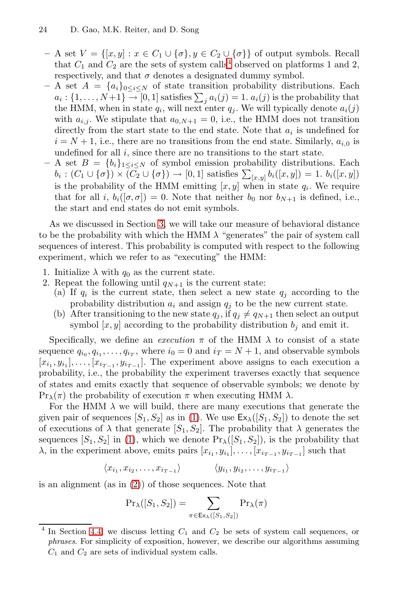- $A$  set  $V = \{ [x, y] : x \in C_1 \cup \{\sigma\}, y \in C_2 \cup \{\sigma\} \}$  of output symbols. Recall that  $C_1$  and  $C_2$  are the sets of system calls<sup>[4](#page-5-0)</sup> observed on platforms 1 and 2, respectively, and that  $\sigma$  denotes a designated dummy symbol.
- $A$  set  $A = \{a_i\}_{0 \le i \le N}$  of state transition probability distributions. Each  $a_i: \{1, \ldots, N+1\} \to [0,1]$  satisfies  $\sum_j a_i(j) = 1$ .  $a_i(j)$  is the probability that the HMM, when in state  $q_i$ , will next enter  $q_j$ . We will typically denote  $a_i(j)$ with  $a_{i,j}$ . We stipulate that  $a_{0,N+1} = 0$ , i.e., the HMM does not transition directly from the start state to the end state. Note that  $a_i$  is undefined for  $i = N + 1$ , i.e., there are no transitions from the end state. Similarly,  $a_{i,0}$  is undefined for all  $i$ , since there are no transitions to the start state.
- $A$  set  $B = \{b_i\}_{1 \leq i \leq N}$  of symbol emission probability distributions. Each  $b_i : (C_1 \cup {\{\sigma\}}) \times (C_2 \cup {\{\sigma\}}) \to [0,1]$  satisfies  $\sum_{[x,y]} b_i([x,y]) = 1$ .  $b_i([x,y])$ is the probability of the HMM emitting  $[x, y]$  when in state  $q_i$ . We require that for all i,  $b_i([\sigma, \sigma]) = 0$ . Note that neither  $b_0$  nor  $b_{N+1}$  is defined, i.e., the start and end states do not emit symbols.

As we discussed in Section [3,](#page-3-2) we will take our measure of behavioral distance to be the probability with which the HMM  $\lambda$  "generates" the pair of system call sequences of interest. This probability is computed with respect to the following experiment, which we refer to as "executing" the HMM:

- 1. Initialize  $\lambda$  with  $q_0$  as the current state.
- <span id="page-5-1"></span>2. Repeat the following until  $q_{N+1}$  is the current state:
	- (a) If  $q_i$  is the current state, then select a new state  $q_j$  according to the probability distribution  $a_i$  and assign  $q_i$  to be the new current state.
	- (b) After transitioning to the new state  $q_j$ , if  $q_j \neq q_{N+1}$  then select an output symbol  $[x, y]$  according to the probability distribution  $b_i$  and emit it.

Specifically, we define an *execution*  $\pi$  of the HMM  $\lambda$  to consist of a state sequence  $q_{i_0}, q_{i_1}, \ldots, q_{i_T}$ , where  $i_0 = 0$  and  $i_T = N + 1$ , and observable symbols  $[x_{i_1}, y_{i_1}], \ldots, [x_{i_{T-1}}, y_{i_{T-1}}]$ . The experiment above assigns to each execution a probability, i.e., the probability the experiment traverses exactly that sequence of states and emits exactly that sequence of observable symbols; we denote by  $\Pr_{\lambda}(\pi)$  the probability of execution  $\pi$  when executing HMM  $\lambda$ .

For the HMM  $\lambda$  we will build, there are many executions that generate the given pair of sequences  $|S_1, S_2|$  as in [\(1\)](#page-3-0). We use  $Ex_{\lambda}([S_1, S_2])$  to denote the set of executions of  $\lambda$  that generate  $[S_1, S_2]$ . The probability that  $\lambda$  generates the sequences  $[S_1, S_2]$  in [\(1\)](#page-3-0), which we denote  $Pr_{\lambda}([S_1, S_2])$ , is the probability that  $\lambda$ , in the experiment above, emits pairs  $[x_{i_1}, y_{i_1}], \ldots, [x_{i_{T-1}}, y_{i_{T-1}}]$  such that

$$
\langle x_{i_1}, x_{i_2}, \ldots, x_{i_{T-1}} \rangle \qquad \langle y_{i_1}, y_{i_2}, \ldots, y_{i_{T-1}} \rangle
$$

is an alignment (as in [\(2\)](#page-3-1)) of those sequences. Note that

$$
Pr_{\lambda}([S_1, S_2]) = \sum_{\pi \in Ex_{\lambda}([S_1, S_2])} Pr_{\lambda}(\pi)
$$

<span id="page-5-0"></span><sup>&</sup>lt;sup>4</sup> In Section [4.4,](#page-10-0) we discuss letting  $C_1$  and  $C_2$  be sets of system call sequences, or phrases. For simplicity of exposition, however, we describe our algorithms assuming  $C_1$  and  $C_2$  are sets of individual system calls.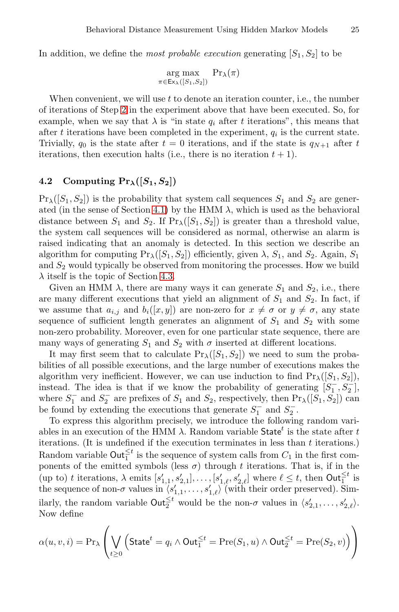In addition, we define the *most probable execution* generating  $[S_1, S_2]$  to be

$$
\arg\max_{\pi \in \mathsf{Ex}_{\lambda}([S_1, S_2])} \Pr_{\lambda}(\pi)
$$

When convenient, we will use  $t$  to denote an iteration counter, i.e., the number of iterations of Step [2](#page-5-1) in the experiment above that have been executed. So, for example, when we say that  $\lambda$  is "in state  $q_i$  after t iterations", this means that after t iterations have been completed in the experiment,  $q_i$  is the current state. Trivially,  $q_0$  is the state after  $t = 0$  iterations, and if the state is  $q_{N+1}$  after t iterations, then execution halts (i.e., there is no iteration  $t + 1$ ).

### <span id="page-6-0"></span>**4.2** Computing  $Pr_{\lambda}([S_1, S_2])$

 $Pr_{\lambda}([S_1, S_2])$  is the probability that system call sequences  $S_1$  and  $S_2$  are gener-ated (in the sense of Section [4.1\)](#page-4-1) by the HMM  $\lambda$ , which is used as the behavioral distance between  $S_1$  and  $S_2$ . If  $Pr_{\lambda}([S_1, S_2])$  is greater than a threshold value, the system call sequences will be considered as normal, otherwise an alarm is raised indicating that an anomaly is detected. In this section we describe an algorithm for computing  $Pr_{\lambda}([S_1, S_2])$  efficiently, given  $\lambda$ ,  $S_1$ , and  $S_2$ . Again,  $S_1$ and  $S_2$  would typically be observed from monitoring the processes. How we build  $\lambda$  itself is the topic of Section [4.3.](#page-8-0)

Given an HMM  $\lambda$ , there are many ways it can generate  $S_1$  and  $S_2$ , i.e., there are many different executions that yield an alignment of  $S_1$  and  $S_2$ . In fact, if we assume that  $a_{i,j}$  and  $b_i([x,y])$  are non-zero for  $x \neq \sigma$  or  $y \neq \sigma$ , any state sequence of sufficient length generates an alignment of  $S_1$  and  $S_2$  with some non-zero probability. Moreover, even for one particular state sequence, there are many ways of generating  $S_1$  and  $S_2$  with  $\sigma$  inserted at different locations.

It may first seem that to calculate  $Pr_{\lambda}([S_1, S_2])$  we need to sum the probabilities of all possible executions, and the large number of executions makes the algorithm very inefficient. However, we can use induction to find  $Pr_{\lambda}([S_1, S_2]),$ instead. The idea is that if we know the probability of generating  $[S_1^-, S_2^-]$ , where  $S_1^-$  and  $S_2^-$  are prefixes of  $S_1$  and  $S_2$ , respectively, then  $Pr_{\lambda}([S_1, \tilde{S_2}])$  can be found by extending the executions that generate  $S_1^-$  and  $S_2^-$ .

To express this algorithm precisely, we introduce the following random variables in an execution of the HMM  $\lambda$ . Random variable State<sup>t</sup> is the state after t iterations. (It is undefined if the execution terminates in less than  $t$  iterations.) Random variable  $\textsf{Out}_1^{\leq t}$  is the sequence of system calls from  $C_1$  in the first components of the emitted symbols (less  $\sigma$ ) through t iterations. That is, if in the (up to) t iterations,  $\lambda$  emits  $[s'_{1,1}, s'_{2,1}], \ldots, [s'_{1,\ell}, s'_{2,\ell}]$  where  $\ell \leq t$ , then  $\text{Out}_1^{\leq t}$  is the sequence of non- $\sigma$  values in  $\langle s'_{1,1},\ldots,s'_{1,\ell}\rangle$  (with their order preserved). Similarly, the random variable  $\text{Out}_2^{\leq t}$  would be the non- $\sigma$  values in  $\langle s'_{2,1},\ldots,s'_{2,\ell}\rangle$ . Now define

$$
\alpha(u, v, i) = \Pr_{\lambda} \left( \bigvee_{t \geq 0} \left( \mathsf{State}^t = q_i \land \mathsf{Out}_1^{\leq t} = \mathsf{Pre}(S_1, u) \land \mathsf{Out}_2^{\leq t} = \mathsf{Pre}(S_2, v) \right) \right)
$$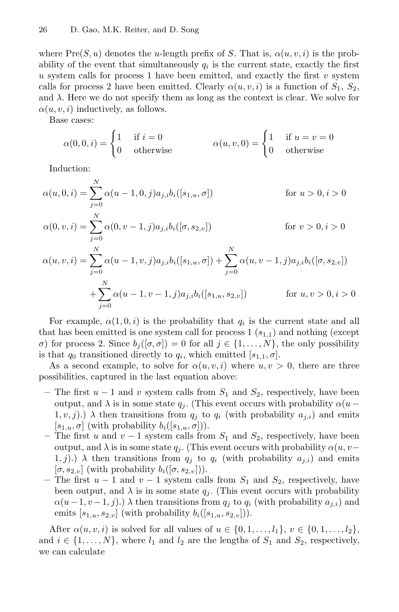where  $Pre(S, u)$  denotes the u-length prefix of S. That is,  $\alpha(u, v, i)$  is the probability of the event that simultaneously  $q_i$  is the current state, exactly the first u system calls for process 1 have been emitted, and exactly the first v system calls for process 2 have been emitted. Clearly  $\alpha(u, v, i)$  is a function of  $S_1, S_2$ , and  $\lambda$ . Here we do not specify them as long as the context is clear. We solve for  $\alpha(u, v, i)$  inductively, as follows.

Base cases:

$$
\alpha(0,0,i) = \begin{cases} 1 & \text{if } i = 0 \\ 0 & \text{otherwise} \end{cases} \qquad \alpha(u,v,0) = \begin{cases} 1 & \text{if } u = v = 0 \\ 0 & \text{otherwise} \end{cases}
$$

Induction:

$$
\alpha(u, 0, i) = \sum_{j=0}^{N} \alpha(u - 1, 0, j)a_{j,i}b_i([s_{1,u}, \sigma])
$$
 for  $u > 0, i > 0$   

$$
\alpha(0, v, i) = \sum_{j=0}^{N} \alpha(0, v - 1, j)a_{j,i}b_i([\sigma, s_{2,v}])
$$
 for  $v > 0, i > 0$ 

$$
\alpha(u, v, i) = \sum_{j=0}^{N} \alpha(u - 1, v, j)a_{j,i}b_i([s_{1,u}, \sigma]) + \sum_{j=0}^{N} \alpha(u, v - 1, j)a_{j,i}b_i([\sigma, s_{2,v}])
$$

$$
+ \sum_{j=0}^{N} \alpha(u - 1, v - 1, j)a_{j,i}b_i([s_{1,u}, s_{2,v}]) \qquad \text{for } u, v > 0, i > 0
$$

For example,  $\alpha(1,0,i)$  is the probability that  $q_i$  is the current state and all that has been emitted is one system call for process  $1(s_{1,1})$  and nothing (except σ) for process 2. Since  $b_j([\sigma, \sigma]) = 0$  for all  $j \in \{1, ..., N\}$ , the only possibility is that  $q_0$  transitioned directly to  $q_i$ , which emitted  $[s_{1,1}, \sigma]$ .

As a second example, to solve for  $\alpha(u, v, i)$  where  $u, v > 0$ , there are three possibilities, captured in the last equation above:

- $−$  The first  $u 1$  and v system calls from  $S_1$  and  $S_2$ , respectively, have been output, and  $\lambda$  is in some state  $q_i$ . (This event occurs with probability  $\alpha(u 1, v, j$ ).)  $\lambda$  then transitions from  $q_j$  to  $q_i$  (with probability  $a_{j,i}$ ) and emits  $[s_{1,u}, \sigma]$  (with probability  $b_i([s_{1,u}, \sigma])$ ).
- $-$  The first u and v − 1 system calls from  $S_1$  and  $S_2$ , respectively, have been output, and  $\lambda$  is in some state  $q_i$ . (This event occurs with probability  $\alpha(u,v-$ 1, j).)  $\lambda$  then transitions from  $q_i$  to  $q_i$  (with probability  $a_{j,i}$ ) and emits  $[\sigma, s_{2,v}]$  (with probability  $b_i([\sigma, s_{2,v}]))$ .
- The first  $u 1$  and  $v 1$  system calls from  $S_1$  and  $S_2$ , respectively, have been output, and  $\lambda$  is in some state  $q_i$ . (This event occurs with probability  $\alpha(u-1, v-1, j)$ .)  $\lambda$  then transitions from  $q_i$  to  $q_i$  (with probability  $a_{j,i}$ ) and emits  $[s_{1,u}, s_{2,v}]$  (with probability  $b_i([s_{1,u}, s_{2,v}])$ ).

After  $\alpha(u, v, i)$  is solved for all values of  $u \in \{0, 1, \ldots, l_1\}, v \in \{0, 1, \ldots, l_2\},\$ and  $i \in \{1, \ldots, N\}$ , where  $l_1$  and  $l_2$  are the lengths of  $S_1$  and  $S_2$ , respectively, we can calculate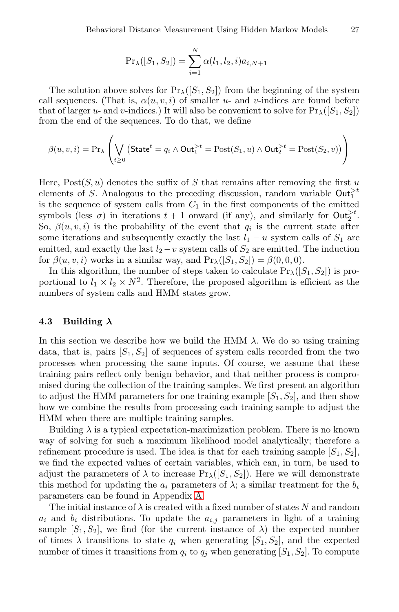$$
Pr_{\lambda}([S_1, S_2]) = \sum_{i=1}^{N} \alpha(l_1, l_2, i) a_{i, N+1}
$$

The solution above solves for  $Pr_{\lambda}([S_1, S_2])$  from the beginning of the system call sequences. (That is,  $\alpha(u, v, i)$  of smaller u- and v-indices are found before that of larger u- and v-indices.) It will also be convenient to solve for  $\Pr_{\lambda}([S_1, S_2])$ from the end of the sequences. To do that, we define

$$
\beta(u, v, i) = \Pr_{\lambda} \left( \bigvee_{t \geq 0} \left( \mathsf{State}^t = q_i \land \mathsf{Out}_1^{\geq t} = \mathsf{Post}(S_1, u) \land \mathsf{Out}_2^{\geq t} = \mathsf{Post}(S_2, v) \right) \right)
$$

Here,  $Post(S, u)$  denotes the suffix of S that remains after removing the first u elements of S. Analogous to the preceding discussion, random variable  $Out_1^{>t}$ is the sequence of system calls from  $C_1$  in the first components of the emitted symbols (less  $\sigma$ ) in iterations  $t + 1$  onward (if any), and similarly for  $\text{Out}_2^{>t}$ . So,  $\beta(u, v, i)$  is the probability of the event that  $q_i$  is the current state after some iterations and subsequently exactly the last  $l_1 - u$  system calls of  $S_1$  are emitted, and exactly the last  $l_2 - v$  system calls of  $S_2$  are emitted. The induction for  $\beta(u, v, i)$  works in a similar way, and  $Pr_{\lambda}([S_1, S_2]) = \beta(0, 0, 0)$ .

In this algorithm, the number of steps taken to calculate  $Pr_{\lambda}([S_1, S_2])$  is proportional to  $l_1 \times l_2 \times N^2$ . Therefore, the proposed algorithm is efficient as the numbers of system calls and HMM states grow.

#### <span id="page-8-0"></span>**4.3 Building** *λ*

In this section we describe how we build the HMM  $\lambda$ . We do so using training data, that is, pairs  $[S_1, S_2]$  of sequences of system calls recorded from the two processes when processing the same inputs. Of course, we assume that these training pairs reflect only benign behavior, and that neither process is compromised during the collection of the training samples. We first present an algorithm to adjust the HMM parameters for one training example  $[S_1, S_2]$ , and then show how we combine the results from processing each training sample to adjust the HMM when there are multiple training samples.

Building  $\lambda$  is a typical expectation-maximization problem. There is no known way of solving for such a maximum likelihood model analytically; therefore a refinement procedure is used. The idea is that for each training sample  $[S_1, S_2]$ , we find the expected values of certain variables, which can, in turn, be used to adjust the parameters of  $\lambda$  to increase  $Pr_{\lambda}([S_1, S_2])$ . Here we will demonstrate this method for updating the  $a_i$  parameters of  $\lambda$ ; a similar treatment for the  $b_i$ parameters can be found in Appendix [A.](#page-17-15)

The initial instance of  $\lambda$  is created with a fixed number of states N and random  $a_i$  and  $b_i$  distributions. To update the  $a_{i,j}$  parameters in light of a training sample  $[S_1, S_2]$ , we find (for the current instance of  $\lambda$ ) the expected number of times  $\lambda$  transitions to state  $q_i$  when generating  $[S_1, S_2]$ , and the expected number of times it transitions from  $q_i$  to  $q_j$  when generating  $[S_1, S_2]$ . To compute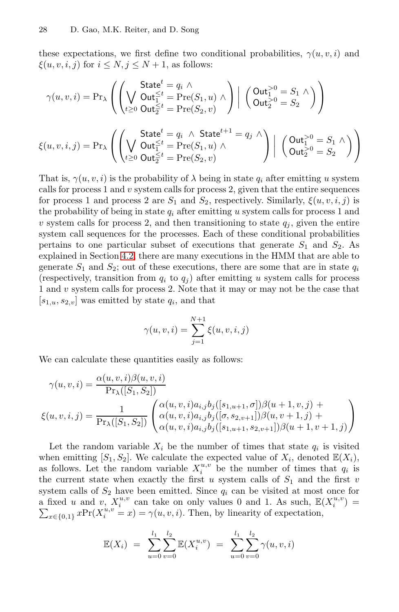these expectations, we first define two conditional probabilities,  $\gamma(u, v, i)$  and  $\xi(u,v,i,j)$  for  $i \leq N, j \leq N+1$ , as follows:

$$
\gamma(u, v, i) = \Pr_{\lambda} \left( \left( \bigvee_{t \geq 0} \begin{matrix} \mathsf{State}^t = q_i \land \\ \bigvee_{t \geq 0} \mathsf{Out}_1^{\leq t} = \operatorname{Pre}(S_1, u) \land \\ t \geq 0 \end{matrix} \right) \middle| \begin{pmatrix} \mathsf{Out}_1^{>0} = S_1 \land \\ \mathsf{Out}_2^{>0} = S_2 \end{pmatrix} \right)
$$

$$
\xi(u, v, i, j) = \Pr_{\lambda} \left( \left( \bigvee_{t \geq 0} \begin{matrix} \mathsf{State}^t = q_i \land \mathsf{State}^{t+1} = q_j \land \\ \mathsf{Out}_2^{\leq t} = \operatorname{Pre}(S_1, u) \land \\ t \geq 0 \end{matrix} \right) \middle| \begin{pmatrix} \mathsf{Out}_1^{>0} = S_1 \land \\ \mathsf{Out}_2^{>0} = S_2 \end{pmatrix} \right)
$$

That is,  $\gamma(u, v, i)$  is the probability of  $\lambda$  being in state  $q_i$  after emitting u system calls for process 1 and v system calls for process 2, given that the entire sequences for process 1 and process 2 are  $S_1$  and  $S_2$ , respectively. Similarly,  $\xi(u,v,i,j)$  is the probability of being in state  $q_i$  after emitting u system calls for process 1 and v system calls for process 2, and then transitioning to state  $q_i$ , given the entire system call sequences for the processes. Each of these conditional probabilities pertains to one particular subset of executions that generate  $S_1$  and  $S_2$ . As explained in Section [4.2,](#page-6-0) there are many executions in the HMM that are able to generate  $S_1$  and  $S_2$ ; out of these executions, there are some that are in state  $q_i$ (respectively, transition from  $q_i$  to  $q_j$ ) after emitting u system calls for process 1 and v system calls for process 2. Note that it may or may not be the case that  $[s_{1,u}, s_{2,v}]$  was emitted by state  $q_i$ , and that

$$
\gamma(u,v,i) = \sum_{j=1}^{N+1} \xi(u,v,i,j)
$$

We can calculate these quantities easily as follows:

$$
\gamma(u, v, i) = \frac{\alpha(u, v, i)\beta(u, v, i)}{\Pr_{\lambda}([S_1, S_2])}
$$
  

$$
\xi(u, v, i, j) = \frac{1}{\Pr_{\lambda}([S_1, S_2])} \begin{pmatrix} \alpha(u, v, i)a_{i,j}b_j([s_{1,u+1}, \sigma])\beta(u+1, v, j) + \\ \alpha(u, v, i)a_{i,j}b_j([ \sigma, s_{2,v+1}])\beta(u, v+1, j) + \\ \alpha(u, v, i)a_{i,j}b_j([s_{1,u+1}, s_{2,v+1}])\beta(u+1, v+1, j) \end{pmatrix}
$$

Let the random variable  $X_i$  be the number of times that state  $q_i$  is visited when emitting  $[S_1, S_2]$ . We calculate the expected value of  $X_i$ , denoted  $\mathbb{E}(X_i)$ , as follows. Let the random variable  $X_i^{u,v}$  be the number of times that  $q_i$  is the current state when exactly the first u system calls of  $S_1$  and the first v system calls of  $S_2$  have been emitted. Since  $q_i$  can be visited at most once for a fixed u and v,  $X_i^{u,v}$  can take on only values 0 and 1. As such,  $\mathbb{E}(X_i^{u,v}) =$  $\sum_{x \in \{0,1\}} x \Pr(X_i^{u,v} = x) = \gamma(u,v,i)$ . Then, by linearity of expectation,

$$
\mathbb{E}(X_i) = \sum_{u=0}^{l_1} \sum_{v=0}^{l_2} \mathbb{E}(X_i^{u,v}) = \sum_{u=0}^{l_1} \sum_{v=0}^{l_2} \gamma(u,v,i)
$$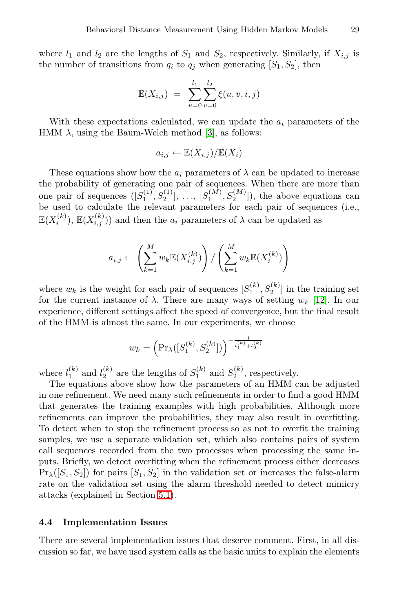where  $l_1$  and  $l_2$  are the lengths of  $S_1$  and  $S_2$ , respectively. Similarly, if  $X_{i,j}$  is the number of transitions from  $q_i$  to  $q_j$  when generating  $[S_1, S_2]$ , then

$$
\mathbb{E}(X_{i,j}) = \sum_{u=0}^{l_1} \sum_{v=0}^{l_2} \xi(u, v, i, j)
$$

With these expectations calculated, we can update the  $a_i$  parameters of the HMM  $\lambda$ , using the Baum-Welch method [\[3\]](#page-16-17), as follows:

$$
a_{i,j} \leftarrow \mathbb{E}(X_{i,j})/\mathbb{E}(X_i)
$$

These equations show how the  $a_i$  parameters of  $\lambda$  can be updated to increase the probability of generating one pair of sequences. When there are more than one pair of sequences  $([S_1^{(1)}, S_2^{(1)}], \ldots, [S_1^{(M)}, S_2^{(M)}])$ , the above equations can be used to calculate the relevant parameters for each pair of sequences (i.e.,  $\mathbb{E}(X_i^{(k)}), \mathbb{E}(X_{i,j}^{(k)}))$  and then the  $a_i$  parameters of  $\lambda$  can be updated as

$$
a_{i,j} \leftarrow \left( \sum_{k=1}^{M} w_k \mathbb{E}(X_{i,j}^{(k)}) \right) / \left( \sum_{k=1}^{M} w_k \mathbb{E}(X_i^{(k)}) \right)
$$

where  $w_k$  is the weight for each pair of sequences  $[S_1^{(k)}, S_2^{(k)}]$  in the training set for the current instance of  $\lambda$ . There are many ways of setting  $w_k$  [\[12\]](#page-16-18). In our experience, different settings affect the speed of convergence, but the final result of the HMM is almost the same. In our experiments, we choose

$$
w_k = \left(\Pr_{\lambda}([S_1^{(k)}, S_2^{(k)}])\right)^{-\frac{1}{l_1^{(k)} + l_2^{(k)}}}
$$

where  $l_1^{(k)}$  and  $l_2^{(k)}$  are the lengths of  $S_1^{(k)}$  and  $S_2^{(k)}$ , respectively.

The equations above show how the parameters of an HMM can be adjusted in one refinement. We need many such refinements in order to find a good HMM that generates the training examples with high probabilities. Although more refinements can improve the probabilities, they may also result in overfitting. To detect when to stop the refinement process so as not to overfit the training samples, we use a separate validation set, which also contains pairs of system call sequences recorded from the two processes when processing the same inputs. Briefly, we detect overfitting when the refinement process either decreases  $Pr_{\lambda}([S_1, S_2])$  for pairs  $[S_1, S_2]$  in the validation set or increases the false-alarm rate on the validation set using the alarm threshold needed to detect mimicry attacks (explained in Section [5.1\)](#page-12-0).

#### <span id="page-10-0"></span>**4.4 Implementation Issues**

There are several implementation issues that deserve comment. First, in all discussion so far, we have used system calls as the basic units to explain the elements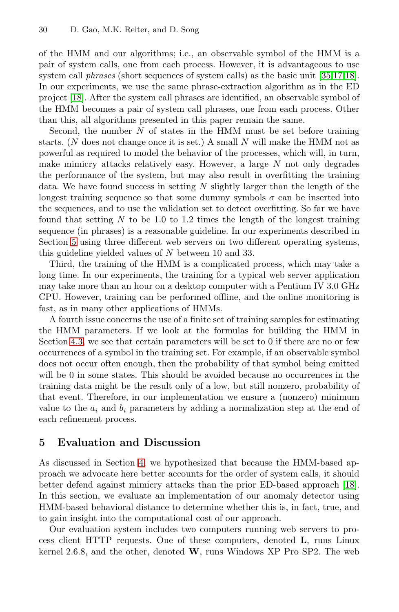of the HMM and our algorithms; i.e., an observable symbol of the HMM is a pair of system calls, one from each process. However, it is advantageous to use system call *phrases* (short sequences of system calls) as the basic unit [\[35,](#page-17-0)[17](#page-16-3)[,18\]](#page-16-7). In our experiments, we use the same phrase-extraction algorithm as in the ED project [\[18\]](#page-16-7). After the system call phrases are identified, an observable symbol of the HMM becomes a pair of system call phrases, one from each process. Other than this, all algorithms presented in this paper remain the same.

Second, the number  $N$  of states in the HMM must be set before training starts. (N does not change once it is set.) A small  $N$  will make the HMM not as powerful as required to model the behavior of the processes, which will, in turn, make mimicry attacks relatively easy. However, a large  $N$  not only degrades the performance of the system, but may also result in overfitting the training data. We have found success in setting  $N$  slightly larger than the length of the longest training sequence so that some dummy symbols  $\sigma$  can be inserted into the sequences, and to use the validation set to detect overfitting. So far we have found that setting  $N$  to be 1.0 to 1.2 times the length of the longest training sequence (in phrases) is a reasonable guideline. In our experiments described in Section [5](#page-11-0) using three different web servers on two different operating systems, this guideline yielded values of N between 10 and 33.

Third, the training of the HMM is a complicated process, which may take a long time. In our experiments, the training for a typical web server application may take more than an hour on a desktop computer with a Pentium IV 3.0 GHz CPU. However, training can be performed offline, and the online monitoring is fast, as in many other applications of HMMs.

A fourth issue concerns the use of a finite set of training samples for estimating the HMM parameters. If we look at the formulas for building the HMM in Section [4.3,](#page-8-0) we see that certain parameters will be set to 0 if there are no or few occurrences of a symbol in the training set. For example, if an observable symbol does not occur often enough, then the probability of that symbol being emitted will be 0 in some states. This should be avoided because no occurrences in the training data might be the result only of a low, but still nonzero, probability of that event. Therefore, in our implementation we ensure a (nonzero) minimum value to the  $a_i$  and  $b_i$  parameters by adding a normalization step at the end of each refinement process.

### <span id="page-11-0"></span>**5 Evaluation and Discussion**

As discussed in Section [4,](#page-4-0) we hypothesized that because the HMM-based approach we advocate here better accounts for the order of system calls, it should better defend against mimicry attacks than the prior ED-based approach [\[18\]](#page-16-7). In this section, we evaluate an implementation of our anomaly detector using HMM-based behavioral distance to determine whether this is, in fact, true, and to gain insight into the computational cost of our approach.

Our evaluation system includes two computers running web servers to process client HTTP requests. One of these computers, denoted **L**, runs Linux kernel 2.6.8, and the other, denoted **W**, runs Windows XP Pro SP2. The web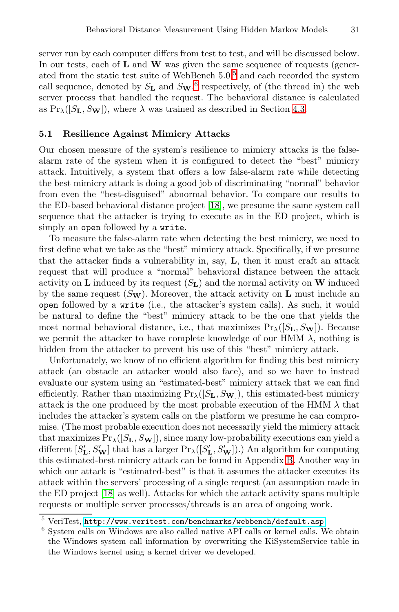server run by each computer differs from test to test, and will be discussed below. In our tests, each of **L** and **W** was given the same sequence of requests (generated from the static test suite of WebBench  $5.0$  $5.0$ ,  $5$  and each recorded the system call sequence, denoted by  $S_{\mathbf{L}}$  and  $S_{\mathbf{W}}$ ,  $\delta$  respectively, of (the thread in) the web server process that handled the request. The behavioral distance is calculated as  $Pr_{\lambda}([S_{\mathbf{L}}, S_{\mathbf{W}}])$ , where  $\lambda$  was trained as described in Section [4.3.](#page-8-0)

#### <span id="page-12-0"></span>**5.1 Resilience Against Mimicry Attacks**

Our chosen measure of the system's resilience to mimicry attacks is the falsealarm rate of the system when it is configured to detect the "best" mimicry attack. Intuitively, a system that offers a low false-alarm rate while detecting the best mimicry attack is doing a good job of discriminating "normal" behavior from even the "best-disguised" abnormal behavior. To compare our results to the ED-based behavioral distance project [\[18\]](#page-16-7), we presume the same system call sequence that the attacker is trying to execute as in the ED project, which is simply an open followed by a write.

To measure the false-alarm rate when detecting the best mimicry, we need to first define what we take as the "best" mimicry attack. Specifically, if we presume that the attacker finds a vulnerability in, say, **L**, then it must craft an attack request that will produce a "normal" behavioral distance between the attack activity on **L** induced by its request  $(S_L)$  and the normal activity on **W** induced by the same request  $(S_{\mathbf{W}})$ . Moreover, the attack activity on **L** must include an open followed by a write (i.e., the attacker's system calls). As such, it would be natural to define the "best" mimicry attack to be the one that yields the most normal behavioral distance, i.e., that maximizes  $Pr_{\lambda}([S_{\mathbf{L}}, S_{\mathbf{W}}])$ . Because we permit the attacker to have complete knowledge of our HMM  $\lambda$ , nothing is hidden from the attacker to prevent his use of this "best" mimicry attack.

Unfortunately, we know of no efficient algorithm for finding this best mimicry attack (an obstacle an attacker would also face), and so we have to instead evaluate our system using an "estimated-best" mimicry attack that we can find efficiently. Rather than maximizing  $Pr_{\lambda}([S_L, S_{\mathbf{W}}])$ , this estimated-best mimicry attack is the one produced by the most probable execution of the HMM  $\lambda$  that includes the attacker's system calls on the platform we presume he can compromise. (The most probable execution does not necessarily yield the mimicry attack that maximizes  $Pr_{\lambda}([S_{\mathbf{L}}, S_{\mathbf{W}}])$ , since many low-probability executions can yield a different  $[S'_{\mathbf{L}}, S'_{\mathbf{W}}]$  that has a larger  $Pr_{\lambda}([S'_{\mathbf{L}}, S'_{\mathbf{W}}])$ .) An algorithm for computing this estimated-best mimicry attack can be found in Appendix [B.](#page-19-0) Another way in which our attack is "estimated-best" is that it assumes the attacker executes its attack within the servers' processing of a single request (an assumption made in the ED project [\[18\]](#page-16-7) as well). Attacks for which the attack activity spans multiple requests or multiple server processes/threads is an area of ongoing work.

<span id="page-12-1"></span> $^5$ VeriTest, <http://www.veritest.com/benchmarks/webbench/default.asp>

<span id="page-12-2"></span> $^6$  System calls on Windows are also called native API calls or kernel calls. We obtain the Windows system call information by overwriting the KiSystemService table in the Windows kernel using a kernel driver we developed.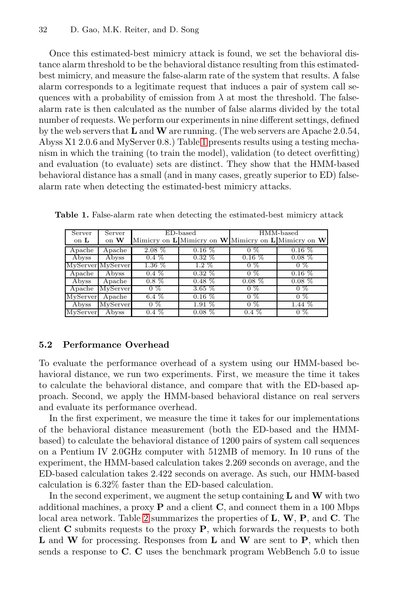Once this estimated-best mimicry attack is found, we set the behavioral distance alarm threshold to be the behavioral distance resulting from this estimatedbest mimicry, and measure the false-alarm rate of the system that results. A false alarm corresponds to a legitimate request that induces a pair of system call sequences with a probability of emission from  $\lambda$  at most the threshold. The falsealarm rate is then calculated as the number of false alarms divided by the total number of requests. We perform our experiments in nine different settings, defined by the web servers that **L** and **W** are running. (The web servers are Apache 2.0.54, Abyss X1 2.0.6 and MyServer 0.8.) Table [1](#page-13-0) presents results using a testing mechanism in which the training (to train the model), validation (to detect overfitting) and evaluation (to evaluate) sets are distinct. They show that the HMM-based behavioral distance has a small (and in many cases, greatly superior to ED) falsealarm rate when detecting the estimated-best mimicry attacks.

| Server   | Server            | ED-based |                                                         | HMM-based |          |
|----------|-------------------|----------|---------------------------------------------------------|-----------|----------|
| on L     | on W              |          | Mimicry on $L$ Mimicry on W Mimicry on $L$ Mimicry on W |           |          |
| Apache   | Apache            | $2.08\%$ | $0.16\%$                                                | $0\%$     | $0.16\%$ |
| Abyss    | Abyss             | $0.4\%$  | $0.32\%$                                                | $0.16\%$  | $0.08\%$ |
|          | MyServer MyServer | $1.36\%$ | $1.2\%$                                                 | $0\%$     | $0\%$    |
| Apache   | Abyss             | $0.4\%$  | $0.32\%$                                                | $0\%$     | $0.16\%$ |
| Abyss    | Apache            | $0.8\%$  | $0.48\%$                                                | $0.08\%$  | $0.08\%$ |
| Apache   | MyServer          | $0\%$    | $3.65\%$                                                | $0\%$     | $0\%$    |
| MyServer | Apache            | $6.4\%$  | $0.16\%$                                                | $0\%$     | $0\%$    |
| Abyss    | MyServer          | $0\%$    | $1.91\%$                                                | $0\%$     | $1.44\%$ |
| MyServer | Abyss             | $0.4\%$  | $0.08\%$                                                | $0.4\%$   | $0\%$    |

<span id="page-13-0"></span>**Table 1.** False-alarm rate when detecting the estimated-best mimicry attack

#### **5.2 Performance Overhead**

To evaluate the performance overhead of a system using our HMM-based behavioral distance, we run two experiments. First, we measure the time it takes to calculate the behavioral distance, and compare that with the ED-based approach. Second, we apply the HMM-based behavioral distance on real servers and evaluate its performance overhead.

In the first experiment, we measure the time it takes for our implementations of the behavioral distance measurement (both the ED-based and the HMMbased) to calculate the behavioral distance of 1200 pairs of system call sequences on a Pentium IV 2.0GHz computer with 512MB of memory. In 10 runs of the experiment, the HMM-based calculation takes 2.269 seconds on average, and the ED-based calculation takes 2.422 seconds on average. As such, our HMM-based calculation is 6.32% faster than the ED-based calculation.

In the second experiment, we augment the setup containing **L** and **W** with two additional machines, a proxy **P** and a client **C**, and connect them in a 100 Mbps local area network. Table [2](#page-14-0) summarizes the properties of **L**, **W**, **P**, and **C**. The client **C** submits requests to the proxy **P**, which forwards the requests to both **L** and **W** for processing. Responses from **L** and **W** are sent to **P**, which then sends a response to **C**. **C** uses the benchmark program WebBench 5.0 to issue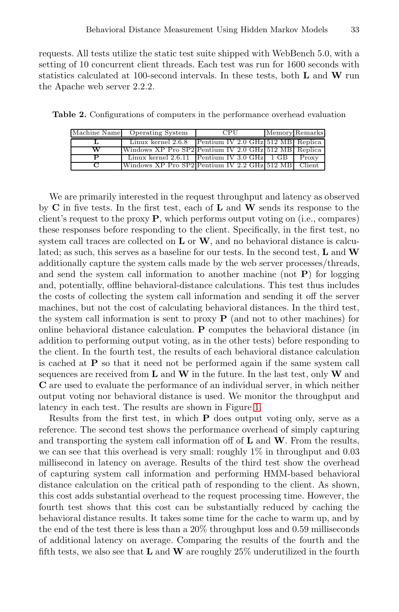requests. All tests utilize the static test suite shipped with WebBench 5.0, with a setting of 10 concurrent client threads. Each test was run for 1600 seconds with statistics calculated at 100-second intervals. In these tests, both **L** and **W** run the Apache web server 2.2.2.

<span id="page-14-0"></span>**Table 2.** Configurations of computers in the performance overhead evaluation

|   | Machine Name Operating System                        | CPU                               | Memory Remarks |  |
|---|------------------------------------------------------|-----------------------------------|----------------|--|
|   | $L$ inux kernel 2.6.8                                | Pentium IV 2.0 GHz 512 MB Replica |                |  |
| w | Windows XP Pro SP2 Pentium IV 2.0 GHz 512 MB Replica |                                   |                |  |
|   | Linux kernel 2.6.11 Pentium IV 3.0 GHz 1 GB Proxy    |                                   |                |  |
|   | Windows XP Pro SP2 Pentium IV 2.2 GHz 512 MB Client  |                                   |                |  |

We are primarily interested in the request throughput and latency as observed by **C** in five tests. In the first test, each of **L** and **W** sends its response to the client's request to the proxy **P**, which performs output voting on (i.e., compares) these responses before responding to the client. Specifically, in the first test, no system call traces are collected on **L** or **W**, and no behavioral distance is calculated; as such, this serves as a baseline for our tests. In the second test, **L** and **W** additionally capture the system calls made by the web server processes/threads, and send the system call information to another machine (not  $\bf{P}$ ) for logging and, potentially, offline behavioral-distance calculations. This test thus includes the costs of collecting the system call information and sending it off the server machines, but not the cost of calculating behavioral distances. In the third test, the system call information is sent to proxy **P** (and not to other machines) for online behavioral distance calculation. **P** computes the behavioral distance (in addition to performing output voting, as in the other tests) before responding to the client. In the fourth test, the results of each behavioral distance calculation is cached at **P** so that it need not be performed again if the same system call sequences are received from **L** and **W** in the future. In the last test, only **W** and **C** are used to evaluate the performance of an individual server, in which neither output voting nor behavioral distance is used. We monitor the throughput and latency in each test. The results are shown in Figure [1.](#page-15-2)

Results from the first test, in which **P** does output voting only, serve as a reference. The second test shows the performance overhead of simply capturing and transporting the system call information off of **L** and **W**. From the results, we can see that this overhead is very small: roughly  $1\%$  in throughput and 0.03 millisecond in latency on average. Results of the third test show the overhead of capturing system call information and performing HMM-based behavioral distance calculation on the critical path of responding to the client. As shown, this cost adds substantial overhead to the request processing time. However, the fourth test shows that this cost can be substantially reduced by caching the behavioral distance results. It takes some time for the cache to warm up, and by the end of the test there is less than a 20% throughput loss and 0.59 milliseconds of additional latency on average. Comparing the results of the fourth and the fifth tests, we also see that **L** and **W** are roughly 25% underutilized in the fourth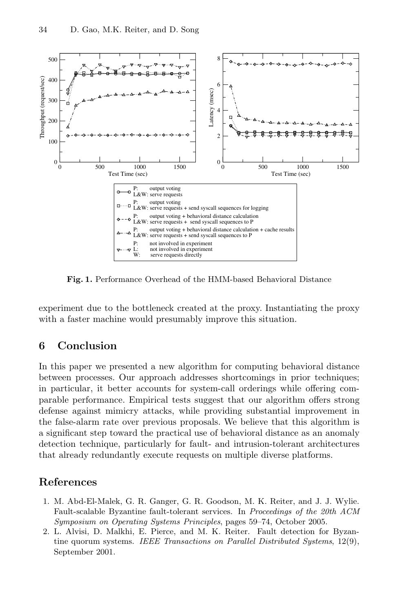

**Fig. 1.** Performance Overhead of the HMM-based Behavioral Distance

<span id="page-15-2"></span>experiment due to the bottleneck created at the proxy. Instantiating the proxy with a faster machine would presumably improve this situation.

# **6 Conclusion**

In this paper we presented a new algorithm for computing behavioral distance between processes. Our approach addresses shortcomings in prior techniques; in particular, it better accounts for system-call orderings while offering comparable performance. Empirical tests suggest that our algorithm offers strong defense against mimicry attacks, while providing substantial improvement in the false-alarm rate over previous proposals. We believe that this algorithm is a significant step toward the practical use of behavioral distance as an anomaly detection technique, particularly for fault- and intrusion-tolerant architectures that already redundantly execute requests on multiple diverse platforms.

# <span id="page-15-1"></span>**References**

- 1. M. Abd-El-Malek, G. R. Ganger, G. R. Goodson, M. K. Reiter, and J. J. Wylie. Fault-scalable Byzantine fault-tolerant services. In Proceedings of the 20th ACM Symposium on Operating Systems Principles, pages 59–74, October 2005.
- <span id="page-15-0"></span>2. L. Alvisi, D. Malkhi, E. Pierce, and M. K. Reiter. Fault detection for Byzantine quorum systems. IEEE Transactions on Parallel Distributed Systems, 12(9), September 2001.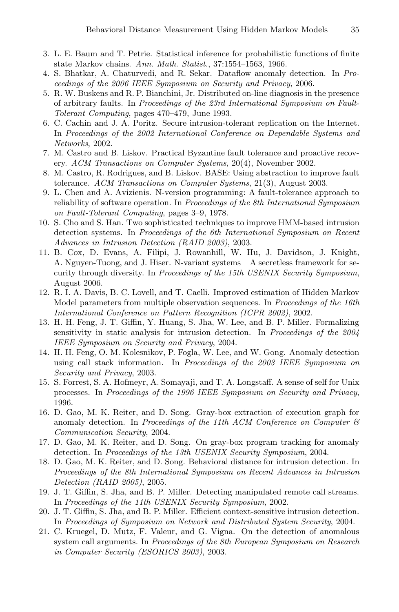- <span id="page-16-17"></span>3. L. E. Baum and T. Petrie. Statistical inference for probabilistic functions of finite state Markov chains. Ann. Math. Statist., 37:1554–1563, 1966.
- <span id="page-16-16"></span>4. S. Bhatkar, A. Chaturvedi, and R. Sekar. Dataflow anomaly detection. In Proceedings of the 2006 IEEE Symposium on Security and Privacy, 2006.
- <span id="page-16-9"></span>5. R. W. Buskens and R. P. Bianchini, Jr. Distributed on-line diagnosis in the presence of arbitrary faults. In Proceedings of the 23rd International Symposium on Fault-Tolerant Computing, pages 470–479, June 1993.
- <span id="page-16-11"></span>6. C. Cachin and J. A. Poritz. Secure intrusion-tolerant replication on the Internet. In Proceedings of the 2002 International Conference on Dependable Systems and Networks, 2002.
- <span id="page-16-10"></span>7. M. Castro and B. Liskov. Practical Byzantine fault tolerance and proactive recovery. ACM Transactions on Computer Systems, 20(4), November 2002.
- <span id="page-16-13"></span>8. M. Castro, R. Rodrigues, and B. Liskov. BASE: Using abstraction to improve fault tolerance. ACM Transactions on Computer Systems, 21(3), August 2003.
- <span id="page-16-12"></span>9. L. Chen and A. Avizienis. N-version programming: A fault-tolerance approach to reliability of software operation. In Proceedings of the 8th International Symposium on Fault-Tolerant Computing, pages 3–9, 1978.
- <span id="page-16-8"></span>10. S. Cho and S. Han. Two sophisticated techniques to improve HMM-based intrusion detection systems. In Proceedings of the 6th International Symposium on Recent Advances in Intrusion Detection (RAID 2003), 2003.
- <span id="page-16-14"></span>11. B. Cox, D. Evans, A. Filipi, J. Rowanhill, W. Hu, J. Davidson, J. Knight, A. Nguyen-Tuong, and J. Hiser. N-variant systems – A secretless framework for security through diversity. In Proceedings of the 15th USENIX Security Symposium, August 2006.
- <span id="page-16-18"></span>12. R. I. A. Davis, B. C. Lovell, and T. Caelli. Improved estimation of Hidden Markov Model parameters from multiple observation sequences. In Proceedings of the 16th International Conference on Pattern Recognition (ICPR 2002), 2002.
- <span id="page-16-4"></span>13. H. H. Feng, J. T. Giffin, Y. Huang, S. Jha, W. Lee, and B. P. Miller. Formalizing sensitivity in static analysis for intrusion detection. In Proceedings of the 2004 IEEE Symposium on Security and Privacy, 2004.
- <span id="page-16-2"></span>14. H. H. Feng, O. M. Kolesnikov, P. Fogla, W. Lee, and W. Gong. Anomaly detection using call stack information. In Proceedings of the 2003 IEEE Symposium on Security and Privacy, 2003.
- <span id="page-16-0"></span>15. S. Forrest, S. A. Hofmeyr, A. Somayaji, and T. A. Longstaff. A sense of self for Unix processes. In Proceedings of the 1996 IEEE Symposium on Security and Privacy, 1996.
- <span id="page-16-6"></span>16. D. Gao, M. K. Reiter, and D. Song. Gray-box extraction of execution graph for anomaly detection. In Proceedings of the 11th ACM Conference on Computer  $\mathcal{C}$ Communication Security, 2004.
- <span id="page-16-3"></span>17. D. Gao, M. K. Reiter, and D. Song. On gray-box program tracking for anomaly detection. In Proceedings of the 13th USENIX Security Symposium, 2004.
- <span id="page-16-7"></span>18. D. Gao, M. K. Reiter, and D. Song. Behavioral distance for intrusion detection. In Proceedings of the 8th International Symposium on Recent Advances in Intrusion Detection (RAID 2005), 2005.
- <span id="page-16-1"></span>19. J. T. Giffin, S. Jha, and B. P. Miller. Detecting manipulated remote call streams. In Proceedings of the 11th USENIX Security Symposium, 2002.
- <span id="page-16-5"></span>20. J. T. Giffin, S. Jha, and B. P. Miller. Efficient context-sensitive intrusion detection. In Proceedings of Symposium on Network and Distributed System Security, 2004.
- <span id="page-16-15"></span>21. C. Kruegel, D. Mutz, F. Valeur, and G. Vigna. On the detection of anomalous system call arguments. In Proceedings of the 8th European Symposium on Research in Computer Security (ESORICS 2003), 2003.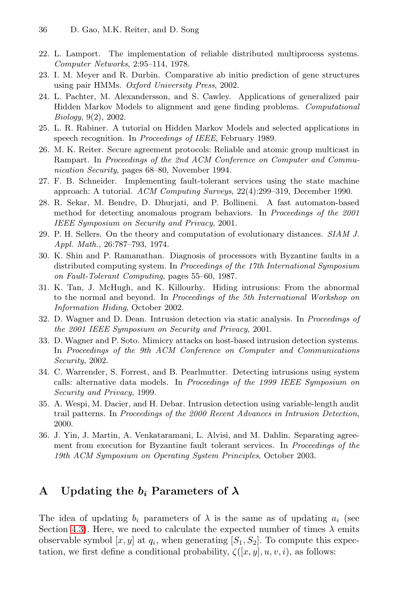- <span id="page-17-13"></span><span id="page-17-8"></span>22. L. Lamport. The implementation of reliable distributed multiprocess systems. Computer Networks, 2:95–114, 1978.
- 23. I. M. Meyer and R. Durbin. Comparative ab initio prediction of gene structures using pair HMMs. Oxford University Press, 2002.
- <span id="page-17-14"></span>24. L. Pachter, M. Alexandersson, and S. Cawley. Applications of generalized pair Hidden Markov Models to alignment and gene finding problems. Computational Biology, 9(2), 2002.
- <span id="page-17-12"></span><span id="page-17-10"></span>25. L. R. Rabiner. A tutorial on Hidden Markov Models and selected applications in speech recognition. In *Proceedings of IEEE*, February 1989.
- 26. M. K. Reiter. Secure agreement protocols: Reliable and atomic group multicast in Rampart. In Proceedings of the 2nd ACM Conference on Computer and Communication Security, pages 68–80, November 1994.
- <span id="page-17-9"></span>27. F. B. Schneider. Implementing fault-tolerant services using the state machine approach: A tutorial. ACM Computing Surveys, 22(4):299–319, December 1990.
- <span id="page-17-2"></span>28. R. Sekar, M. Bendre, D. Dhurjati, and P. Bollineni. A fast automaton-based method for detecting anomalous program behaviors. In Proceedings of the 2001 IEEE Symposium on Security and Privacy, 2001.
- <span id="page-17-5"></span>29. P. H. Sellers. On the theory and computation of evolutionary distances. SIAM J. Appl. Math., 26:787–793, 1974.
- <span id="page-17-7"></span>30. K. Shin and P. Ramanathan. Diagnosis of processors with Byzantine faults in a distributed computing system. In Proceedings of the 17th International Symposium on Fault-Tolerant Computing, pages 55–60, 1987.
- <span id="page-17-3"></span>31. K. Tan, J. McHugh, and K. Killourhy. Hiding intrusions: From the abnormal to the normal and beyond. In Proceedings of the 5th International Workshop on Information Hiding, October 2002.
- <span id="page-17-1"></span>32. D. Wagner and D. Dean. Intrusion detection via static analysis. In Proceedings of the 2001 IEEE Symposium on Security and Privacy, 2001.
- <span id="page-17-4"></span>33. D. Wagner and P. Soto. Mimicry attacks on host-based intrusion detection systems. In Proceedings of the 9th ACM Conference on Computer and Communications Security, 2002.
- <span id="page-17-6"></span>34. C. Warrender, S. Forrest, and B. Pearlmutter. Detecting intrusions using system calls: alternative data models. In Proceedings of the 1999 IEEE Symposium on Security and Privacy, 1999.
- <span id="page-17-0"></span>35. A. Wespi, M. Dacier, and H. Debar. Intrusion detection using variable-length audit trail patterns. In Proceedings of the 2000 Recent Advances in Intrusion Detection, 2000.
- <span id="page-17-11"></span>36. J. Yin, J. Martin, A. Venkataramani, L. Alvisi, and M. Dahlin. Separating agreement from execution for Byzantine fault tolerant services. In Proceedings of the 19th ACM Symposium on Operating System Principles, October 2003.

# <span id="page-17-15"></span>**A Updating the** *b<sup>i</sup>* **Parameters of** *λ*

The idea of updating  $b_i$  parameters of  $\lambda$  is the same as of updating  $a_i$  (see Section [4.3\)](#page-8-0). Here, we need to calculate the expected number of times  $\lambda$  emits observable symbol [x, y] at  $q_i$ , when generating [ $S_1, S_2$ ]. To compute this expectation, we first define a conditional probability,  $\zeta([x, y], u, v, i)$ , as follows: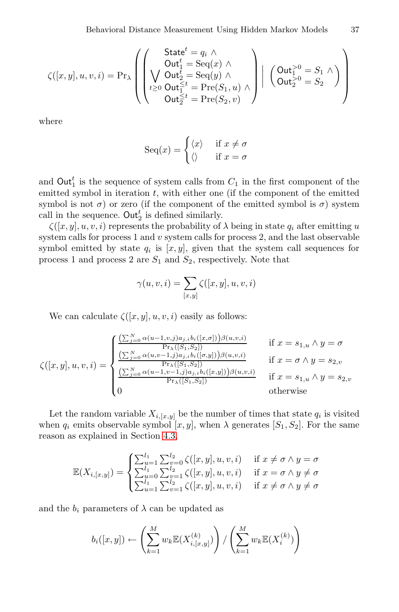$$
\zeta([x,y],u,v,i) = \Pr_{\lambda} \left( \left( \begin{matrix} \text{State}^t = q_i \; \wedge \\ \text{Out}_1^t = \text{Seq}(x) \; \wedge \\ \text{Out}_2^t = \text{Seq}(y) \; \wedge \\ t \geq 0 \; \text{Out}_1^{\leq t} = \text{Pre}(S_1,u) \; \wedge \\ \text{Out}_2^{\leq t} = \text{Pre}(S_2,v) \end{matrix} \right) \; \left( \begin{matrix} \text{Out}_1^{>0} = S_1 \; \wedge \\ \text{Out}_2^{>0} = S_2 \end{matrix} \right)
$$

where

$$
Seq(x) = \begin{cases} \langle x \rangle & \text{if } x \neq \sigma \\ \langle \rangle & \text{if } x = \sigma \end{cases}
$$

and  $\mathsf{Out}_1^t$  is the sequence of system calls from  $C_1$  in the first component of the emitted symbol in iteration  $t$ , with either one (if the component of the emitted symbol is not  $\sigma$ ) or zero (if the component of the emitted symbol is  $\sigma$ ) system call in the sequence.  $\mathsf{Out}_2^t$  is defined similarly.

 $\zeta([x,y],u,v,i)$  represents the probability of  $\lambda$  being in state  $q_i$  after emitting u system calls for process 1 and v system calls for process 2, and the last observable symbol emitted by state  $q_i$  is  $[x, y]$ , given that the system call sequences for process 1 and process 2 are  $S_1$  and  $S_2$ , respectively. Note that

$$
\gamma(u, v, i) = \sum_{[x,y]} \zeta([x, y], u, v, i)
$$

We can calculate  $\zeta([x,y],u,v,i)$  easily as follows:

$$
\zeta([x, y], u, v, i) = \begin{cases}\n\frac{\left(\sum_{j=0}^{N} \alpha(u-1, v, j)a_{j,i}b_i([x, \sigma])\right)\beta(u, v, i)}{\Pr_{\lambda}([S_1, S_2])} & \text{if } x = s_{1,u} \land y = \sigma \\
\frac{\left(\sum_{j=0}^{N} \alpha(u, v-1, j)a_{j,i}b_i([G, y])\right)\beta(u, v, i)}{\Pr_{\lambda}([S_1, S_2])} & \text{if } x = \sigma \land y = s_{2,v} \\
\frac{\left(\sum_{j=0}^{N} \alpha(u-1, v-1, j)a_{j,i}b_i([x, y])\right)\beta(u, v, i)}{\Pr_{\lambda}([S_1, S_2])} & \text{if } x = s_{1,u} \land y = s_{2,v} \\
0 & \text{otherwise}\n\end{cases}
$$

Let the random variable  $X_{i,[x,y]}$  be the number of times that state  $q_i$  is visited when  $q_i$  emits observable symbol  $[x, y]$ , when  $\lambda$  generates  $[S_1, S_2]$ . For the same reason as explained in Section [4.3,](#page-8-0)

$$
\mathbb{E}(X_{i,[x,y]}) = \begin{cases} \sum_{u=1}^{l_1} \sum_{v=0}^{l_2} \zeta([x,y],u,v,i) & \text{if } x \neq \sigma \wedge y = \sigma \\ \sum_{u=0}^{l_1} \sum_{v=1}^{l_2} \zeta([x,y],u,v,i) & \text{if } x = \sigma \wedge y \neq \sigma \\ \sum_{u=1}^{l_1} \sum_{v=1}^{l_2} \zeta([x,y],u,v,i) & \text{if } x \neq \sigma \wedge y \neq \sigma \end{cases}
$$

and the  $b_i$  parameters of  $\lambda$  can be updated as

$$
b_i([x,y]) \leftarrow \left(\sum_{k=1}^M w_k \mathbb{E}(X_{i,[x,y]}^{(k)})\right) / \left(\sum_{k=1}^M w_k \mathbb{E}(X_i^{(k)})\right)
$$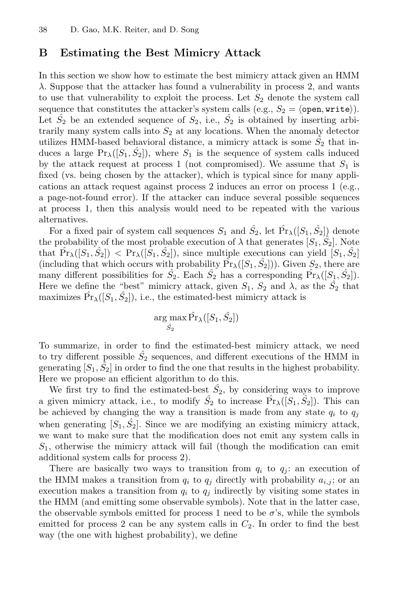## <span id="page-19-0"></span>**B Estimating the Best Mimicry Attack**

In this section we show how to estimate the best mimicry attack given an HMM  $\lambda$ . Suppose that the attacker has found a vulnerability in process 2, and wants to use that vulnerability to exploit the process. Let  $S_2$  denote the system call sequence that constitutes the attacker's system calls (e.g.,  $S_2 = \langle$  open, write $\rangle$ ). Let  $\hat{S}_2$  be an extended sequence of  $S_2$ , i.e.,  $\hat{S}_2$  is obtained by inserting arbitrarily many system calls into  $S_2$  at any locations. When the anomaly detector utilizes HMM-based behavioral distance, a mimicry attack is some  $\hat{S}_2$  that induces a large  $Pr_{\lambda}([S_1, \hat{S}_2])$ , where  $S_1$  is the sequence of system calls induced by the attack request at process 1 (not compromised). We assume that  $S_1$  is fixed (vs. being chosen by the attacker), which is typical since for many applications an attack request against process 2 induces an error on process 1 (e.g., a page-not-found error). If the attacker can induce several possible sequences at process 1, then this analysis would need to be repeated with the various alternatives.

For a fixed pair of system call sequences  $S_1$  and  $\hat{S_2}$ , let  $\hat{Pr}_{\lambda}([S_1, \hat{S_2}])$  denote the probability of the most probable execution of  $\lambda$  that generates  $[S_1, \hat{S}_2]$ . Note that  $\Pr_{\lambda}([S_1, \hat{S}_2]) < \Pr_{\lambda}([S_1, \hat{S}_2])$ , since multiple executions can yield  $[S_1, \hat{S}_2]$ (including that which occurs with probability  $\hat{\Pr}_{\lambda}([S_1, \hat{S}_2])$ ). Given  $S_2$ , there are many different possibilities for  $\hat{S}_2$ . Each  $\hat{S}_2$  has a corresponding  $\hat{\Pr}_{\lambda}([S_1, \hat{S}_2])$ . Here we define the "best" mimicry attack, given  $S_1$ ,  $S_2$  and  $\lambda$ , as the  $\hat{S_2}$  that maximizes  $\hat{\Pr}_{\lambda}([S_1, \hat{S}_2]),$  i.e., the estimated-best mimicry attack is

$$
\argmax_{\hat{S_2}} \hat{\mathrm{Pr}}_{\lambda}([S_1, \hat{S_2}])
$$

To summarize, in order to find the estimated-best mimicry attack, we need to try different possible  $\hat{S}_2$  sequences, and different executions of the HMM in generating  $[S_1, \tilde{S}_2]$  in order to find the one that results in the highest probability. Here we propose an efficient algorithm to do this.

We first try to find the estimated-best  $\hat{S}_2$ , by considering ways to improve a given mimicry attack, i.e., to modify  $\hat{S}_2$  to increase  $\hat{\Pr}_{\lambda}([S_1, \hat{S}_2])$ . This can be achieved by changing the way a transition is made from any state  $q_i$  to  $q_j$ when generating  $[S_1, \hat{S}_2]$ . Since we are modifying an existing mimicry attack, we want to make sure that the modification does not emit any system calls in  $S_1$ , otherwise the mimicry attack will fail (though the modification can emit additional system calls for process 2).

There are basically two ways to transition from  $q_i$  to  $q_j$ : an execution of the HMM makes a transition from  $q_i$  to  $q_j$  directly with probability  $a_{i,j}$ ; or an execution makes a transition from  $q_i$  to  $q_j$  indirectly by visiting some states in the HMM (and emitting some observable symbols). Note that in the latter case, the observable symbols emitted for process 1 need to be  $\sigma$ 's, while the symbols emitted for process 2 can be any system calls in  $C_2$ . In order to find the best way (the one with highest probability), we define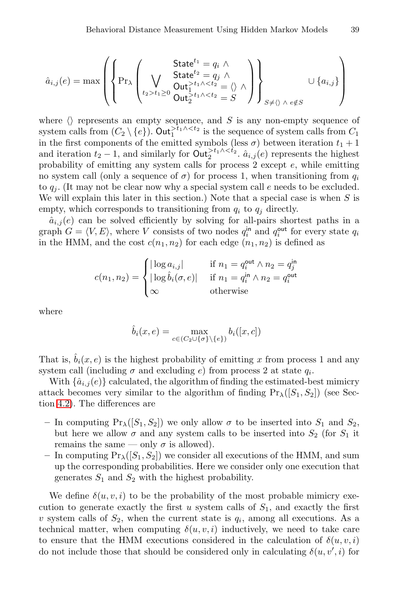$$
\hat{a}_{i,j}(e) = \max\left(\left\{\Pr_{\lambda}\left(\bigvee_{t_2>t_1\geq 0}\begin{matrix} \text{State}^{t_1} = q_i \wedge \\ \text{State}^{t_2} = q_j \wedge \\ 0 \text{Out}_1^{>t_1 \wedge < t_2} = \langle \rangle \wedge \\ 0 \text{Out}_2^{>t_1 \wedge < t_2} = S \end{matrix}\right)\right\}_{S \neq \langle \rangle \wedge e \notin S} \cup \{a_{i,j}\}\right)
$$

where  $\langle \rangle$  represents an empty sequence, and S is any non-empty sequence of system calls from  $(C_2 \setminus \{e\})$ . Out<sup>>t<sub>1</sub>∧ < t<sub>2</sub> is the sequence of system calls from  $C_1$ </sup> in the first components of the emitted symbols (less  $\sigma$ ) between iteration  $t_1 + 1$ and iteration  $t_2 - 1$ , and similarly for  $\text{Out}_2^{>t_1 \wedge < t_2}$ .  $\hat{a}_{i,j}(e)$  represents the highest probability of emitting any system calls for process  $2$  except  $e$ , while emitting no system call (only a sequence of  $\sigma$ ) for process 1, when transitioning from  $q_i$ to  $q_i$ . (It may not be clear now why a special system call e needs to be excluded. We will explain this later in this section.) Note that a special case is when  $S$  is empty, which corresponds to transitioning from  $q_i$  to  $q_j$  directly.

 $\hat{a}_{i,j}(e)$  can be solved efficiently by solving for all-pairs shortest paths in a graph  $G = \langle V, E \rangle$ , where V consists of two nodes  $q_i^{\text{in}}$  and  $q_i^{\text{out}}$  for every state  $q_i$ in the HMM, and the cost  $c(n_1, n_2)$  for each edge  $(n_1, n_2)$  is defined as

$$
c(n_1, n_2) = \begin{cases} |\log a_{i,j}| & \text{if } n_1 = q_i^{\text{out}} \wedge n_2 = q_j^{\text{in}} \\ |\log \hat{b}_i(\sigma, e)| & \text{if } n_1 = q_i^{\text{in}} \wedge n_2 = q_i^{\text{out}} \\ \infty & \text{otherwise} \end{cases}
$$

where

$$
\hat{b}_i(x, e) = \max_{c \in (C_2 \cup \{\sigma\} \setminus \{e\})} b_i([x, c])
$$

That is,  $b_i(x, e)$  is the highest probability of emitting x from process 1 and any system call (including  $\sigma$  and excluding e) from process 2 at state  $q_i$ .

With  $\{\hat{a}_{i,j}(e)\}\$  calculated, the algorithm of finding the estimated-best mimicry attack becomes very similar to the algorithm of finding  $Pr_{\lambda}([S_1, S_2])$  (see Section [4.2\)](#page-6-0). The differences are

- In computing  $Pr_{\lambda}([S_1, S_2])$  we only allow  $\sigma$  to be inserted into  $S_1$  and  $S_2$ , but here we allow  $\sigma$  and any system calls to be inserted into  $S_2$  (for  $S_1$  it remains the same — only  $\sigma$  is allowed).
- In computing  $Pr_{\lambda}([S_1, S_2])$  we consider all executions of the HMM, and sum up the corresponding probabilities. Here we consider only one execution that generates  $S_1$  and  $S_2$  with the highest probability.

We define  $\delta(u, v, i)$  to be the probability of the most probable mimicry execution to generate exactly the first  $u$  system calls of  $S_1$ , and exactly the first v system calls of  $S_2$ , when the current state is  $q_i$ , among all executions. As a technical matter, when computing  $\delta(u, v, i)$  inductively, we need to take care to ensure that the HMM executions considered in the calculation of  $\delta(u, v, i)$ do not include those that should be considered only in calculating  $\delta(u, v', i)$  for